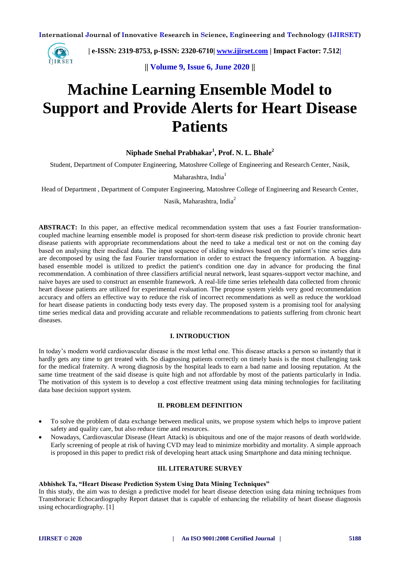

 **| e-ISSN: 2319-8753, p-ISSN: 2320-6710[| www.ijirset.com](http://www.ijirset.com/) | Impact Factor: 7.512|**

**|| Volume 9, Issue 6, June 2020 ||** 

# **Machine Learning Ensemble Model to Support and Provide Alerts for Heart Disease Patients**

**Niphade Snehal Prabhakar<sup>1</sup> , Prof. N. L. Bhale<sup>2</sup>**

Student, Department of Computer Engineering, Matoshree College of Engineering and Research Center, Nasik,

Maharashtra, India<sup>1</sup>

Head of Department , Department of Computer Engineering, Matoshree College of Engineering and Research Center,

Nasik, Maharashtra, India<sup>2</sup>

**ABSTRACT:** In this paper, an effective medical recommendation system that uses a fast Fourier transformationcoupled machine learning ensemble model is proposed for short-term disease risk prediction to provide chronic heart disease patients with appropriate recommendations about the need to take a medical test or not on the coming day based on analysing their medical data. The input sequence of sliding windows based on the patient's time series data are decomposed by using the fast Fourier transformation in order to extract the frequency information. A baggingbased ensemble model is utilized to predict the patient's condition one day in advance for producing the final recommendation. A combination of three classifiers artificial neural network, least squares-support vector machine, and naive bayes are used to construct an ensemble framework. A real-life time series telehealth data collected from chronic heart disease patients are utilized for experimental evaluation. The propose system yields very good recommendation accuracy and offers an effective way to reduce the risk of incorrect recommendations as well as reduce the workload for heart disease patients in conducting body tests every day. The proposed system is a promising tool for analysing time series medical data and providing accurate and reliable recommendations to patients suffering from chronic heart diseases.

## **I. INTRODUCTION**

In today's modern world cardiovascular disease is the most lethal one. This disease attacks a person so instantly that it hardly gets any time to get treated with. So diagnosing patients correctly on timely basis is the most challenging task for the medical fraternity. A wrong diagnosis by the hospital leads to earn a bad name and loosing reputation. At the same time treatment of the said disease is quite high and not affordable by most of the patients particularly in India. The motivation of this system is to develop a cost effective treatment using data mining technologies for facilitating data base decision support system.

#### **II. PROBLEM DEFINITION**

- To solve the problem of data exchange between medical units, we propose system which helps to improve patient safety and quality care, but also reduce time and resources.
- Nowadays, Cardiovascular Disease (Heart Attack) is ubiquitous and one of the major reasons of death worldwide. Early screening of people at risk of having CVD may lead to minimize morbidity and mortality. A simple approach is proposed in this paper to predict risk of developing heart attack using Smartphone and data mining technique.

# **III. LITERATURE SURVEY**

## **Abhishek Ta, "Heart Disease Prediction System Using Data Mining Techniques"**

In this study, the aim was to design a predictive model for heart disease detection using data mining techniques from Transthoracic Echocardiography Report dataset that is capable of enhancing the reliability of heart disease diagnosis using echocardiography. [1]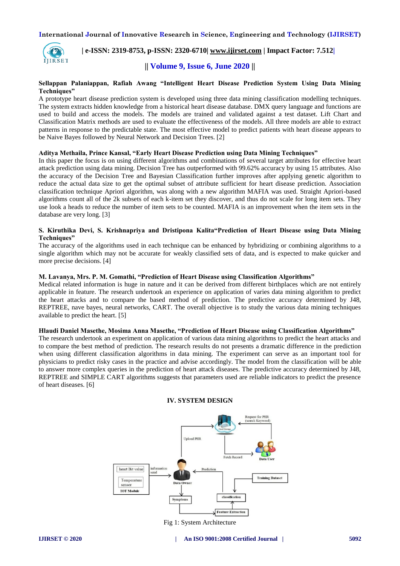

 **| e-ISSN: 2319-8753, p-ISSN: 2320-6710| [www.ijirset.com](http://www.ijirset.com/) | Impact Factor: 7.512|**

# **|| Volume 9, Issue 6, June 2020 ||**

#### **Sellappan Palaniappan, Rafiah Awang "Intelligent Heart Disease Prediction System Using Data Mining Techniques"**

A prototype heart disease prediction system is developed using three data mining classification modelling techniques. The system extracts hidden knowledge from a historical heart disease database. DMX query language and functions are used to build and access the models. The models are trained and validated against a test dataset. Lift Chart and Classification Matrix methods are used to evaluate the effectiveness of the models. All three models are able to extract patterns in response to the predictable state. The most effective model to predict patients with heart disease appears to be Naive Bayes followed by Neural Network and Decision Trees. [2]

#### **Aditya Methaila, Prince Kansal, "Early Heart Disease Prediction using Data Mining Techniques"**

In this paper the focus is on using different algorithms and combinations of several target attributes for effective heart attack prediction using data mining. Decision Tree has outperformed with 99.62% accuracy by using 15 attributes. Also the accuracy of the Decision Tree and Bayesian Classification further improves after applying genetic algorithm to reduce the actual data size to get the optimal subset of attribute sufficient for heart disease prediction. Association classification technique Apriori algorithm, was along with a new algorithm MAFIA was used. Straight Apriori-based algorithms count all of the 2k subsets of each k-item set they discover, and thus do not scale for long item sets. They use look a heads to reduce the number of item sets to be counted. MAFIA is an improvement when the item sets in the database are very long. [3]

## **S. Kiruthika Devi, S. Krishnapriya and Dristipona Kalita"Prediction of Heart Disease using Data Mining Techniques"**

The accuracy of the algorithms used in each technique can be enhanced by hybridizing or combining algorithms to a single algorithm which may not be accurate for weakly classified sets of data, and is expected to make quicker and more precise decisions. [4]

#### **M. Lavanya, Mrs. P. M. Gomathi, "Prediction of Heart Disease using Classification Algorithms"**

Medical related information is huge in nature and it can be derived from different birthplaces which are not entirely applicable in feature. The research undertook an experience on application of varies data mining algorithm to predict the heart attacks and to compare the based method of prediction. The predictive accuracy determined by J48, REPTREE, nave bayes, neural networks, CART. The overall objective is to study the various data mining techniques available to predict the heart. [5]

#### **Hlaudi Daniel Masethe, Mosima Anna Masethe, "Prediction of Heart Disease using Classification Algorithms"**

The research undertook an experiment on application of various data mining algorithms to predict the heart attacks and to compare the best method of prediction. The research results do not presents a dramatic difference in the prediction when using different classification algorithms in data mining. The experiment can serve as an important tool for physicians to predict risky cases in the practice and advise accordingly. The model from the classification will be able to answer more complex queries in the prediction of heart attack diseases. The predictive accuracy determined by J48, REPTREE and SIMPLE CART algorithms suggests that parameters used are reliable indicators to predict the presence of heart diseases. [6]



# **IV. SYSTEM DESIGN**

Fig 1: System Architecture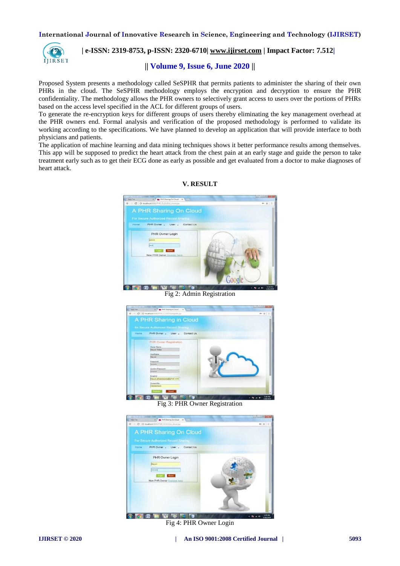

# **| e-ISSN: 2319-8753, p-ISSN: 2320-6710| [www.ijirset.com](http://www.ijirset.com/) | Impact Factor: 7.512|**

# **|| Volume 9, Issue 6, June 2020 ||**

Proposed System presents a methodology called SeSPHR that permits patients to administer the sharing of their own PHRs in the cloud. The SeSPHR methodology employs the encryption and decryption to ensure the PHR confidentiality. The methodology allows the PHR owners to selectively grant access to users over the portions of PHRs based on the access level specified in the ACL for different groups of users.

To generate the re-encryption keys for different groups of users thereby eliminating the key management overhead at the PHR owners end. Formal analysis and verification of the proposed methodology is performed to validate its working according to the specifications. We have planned to develop an application that will provide interface to both physicians and patients.

The application of machine learning and data mining techniques shows it better performance results among themselves. This app will be supposed to predict the heart attack from the chest pain at an early stage and guide the person to take treatment early such as to get their ECG done as early as possible and get evaluated from a doctor to make diagnoses of heart attack.



**V. RESULT**

Fig 2: Admin Registration



Fig 3: PHR Owner Registration



Fig 4: PHR Owner Login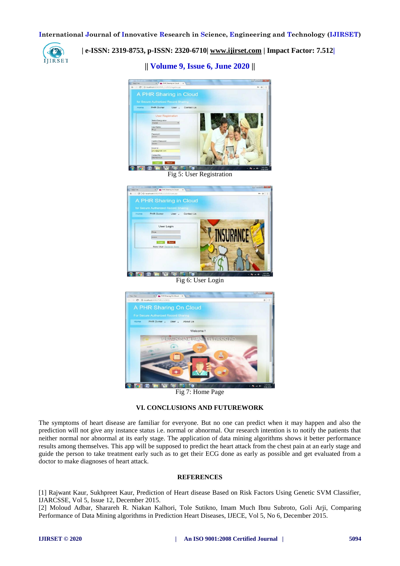

 **| e-ISSN: 2319-8753, p-ISSN: 2320-6710| [www.ijirset.com](http://www.ijirset.com/) | Impact Factor: 7.512|**

**|| Volume 9, Issue 6, June 2020 ||** 



Fig 5: User Registration



Fig 6: User Login



Fig 7: Home Page

## **VI. CONCLUSIONS AND FUTUREWORK**

The symptoms of heart disease are familiar for everyone. But no one can predict when it may happen and also the prediction will not give any instance status i.e. normal or abnormal. Our research intention is to notify the patients that neither normal nor abnormal at its early stage. The application of data mining algorithms shows it better performance results among themselves. This app will be supposed to predict the heart attack from the chest pain at an early stage and guide the person to take treatment early such as to get their ECG done as early as possible and get evaluated from a doctor to make diagnoses of heart attack.

## **REFERENCES**

[1] Rajwant Kaur, Sukhpreet Kaur, Prediction of Heart disease Based on Risk Factors Using Genetic SVM Classifier, IJARCSSE, Vol 5, Issue 12, December 2015.

[2] Moloud Adbar, Sharareh R. Niakan Kalhori, Tole Sutikno, Imam Much Ibnu Subroto, Goli Arji, Comparing Performance of Data Mining algorithms in Prediction Heart Diseases, IJECE, Vol 5, No 6, December 2015.